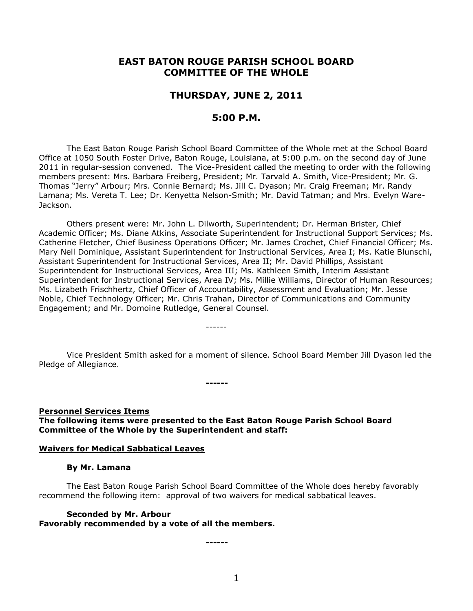# **EAST BATON ROUGE PARISH SCHOOL BOARD COMMITTEE OF THE WHOLE**

# **THURSDAY, JUNE 2, 2011**

# **5:00 P.M.**

The East Baton Rouge Parish School Board Committee of the Whole met at the School Board Office at 1050 South Foster Drive, Baton Rouge, Louisiana, at 5:00 p.m. on the second day of June 2011 in regular-session convened. The Vice-President called the meeting to order with the following members present: Mrs. Barbara Freiberg, President; Mr. Tarvald A. Smith, Vice-President; Mr. G. Thomas "Jerry" Arbour; Mrs. Connie Bernard; Ms. Jill C. Dyason; Mr. Craig Freeman; Mr. Randy Lamana; Ms. Vereta T. Lee; Dr. Kenyetta Nelson-Smith; Mr. David Tatman; and Mrs. Evelyn Ware-Jackson.

Others present were: Mr. John L. Dilworth, Superintendent; Dr. Herman Brister, Chief Academic Officer; Ms. Diane Atkins, Associate Superintendent for Instructional Support Services; Ms. Catherine Fletcher, Chief Business Operations Officer; Mr. James Crochet, Chief Financial Officer; Ms. Mary Nell Dominique, Assistant Superintendent for Instructional Services, Area I; Ms. Katie Blunschi, Assistant Superintendent for Instructional Services, Area II; Mr. David Phillips, Assistant Superintendent for Instructional Services, Area III; Ms. Kathleen Smith, Interim Assistant Superintendent for Instructional Services, Area IV; Ms. Millie Williams, Director of Human Resources; Ms. Lizabeth Frischhertz, Chief Officer of Accountability, Assessment and Evaluation; Mr. Jesse Noble, Chief Technology Officer; Mr. Chris Trahan, Director of Communications and Community Engagement; and Mr. Domoine Rutledge, General Counsel.

Vice President Smith asked for a moment of silence. School Board Member Jill Dyason led the Pledge of Allegiance.

**Personnel Services Items The following items were presented to the East Baton Rouge Parish School Board Committee of the Whole by the Superintendent and staff:**

**------**

------

### **Waivers for Medical Sabbatical Leaves**

#### **By Mr. Lamana**

The East Baton Rouge Parish School Board Committee of the Whole does hereby favorably recommend the following item: approval of two waivers for medical sabbatical leaves.

**Seconded by Mr. Arbour Favorably recommended by a vote of all the members.**

**------**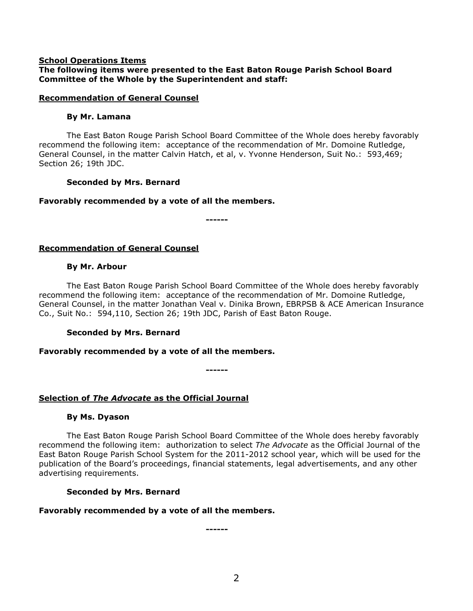### **School Operations Items**

## **The following items were presented to the East Baton Rouge Parish School Board Committee of the Whole by the Superintendent and staff:**

### **Recommendation of General Counsel**

### **By Mr. Lamana**

The East Baton Rouge Parish School Board Committee of the Whole does hereby favorably recommend the following item: acceptance of the recommendation of Mr. Domoine Rutledge, General Counsel, in the matter Calvin Hatch, et al, v. Yvonne Henderson, Suit No.: 593,469; Section 26; 19th JDC.

## **Seconded by Mrs. Bernard**

## **Favorably recommended by a vote of all the members.**

**------**

# **Recommendation of General Counsel**

## **By Mr. Arbour**

The East Baton Rouge Parish School Board Committee of the Whole does hereby favorably recommend the following item: acceptance of the recommendation of Mr. Domoine Rutledge, General Counsel, in the matter Jonathan Veal v. Dinika Brown, EBRPSB & ACE American Insurance Co., Suit No.: 594,110, Section 26; 19th JDC, Parish of East Baton Rouge.

## **Seconded by Mrs. Bernard**

## **Favorably recommended by a vote of all the members.**

**------**

# **Selection of** *The Advocate* **as the Official Journal**

## **By Ms. Dyason**

The East Baton Rouge Parish School Board Committee of the Whole does hereby favorably recommend the following item: authorization to select *The Advocate* as the Official Journal of the East Baton Rouge Parish School System for the 2011-2012 school year, which will be used for the publication of the Board's proceedings, financial statements, legal advertisements, and any other advertising requirements.

## **Seconded by Mrs. Bernard**

## **Favorably recommended by a vote of all the members.**

**------**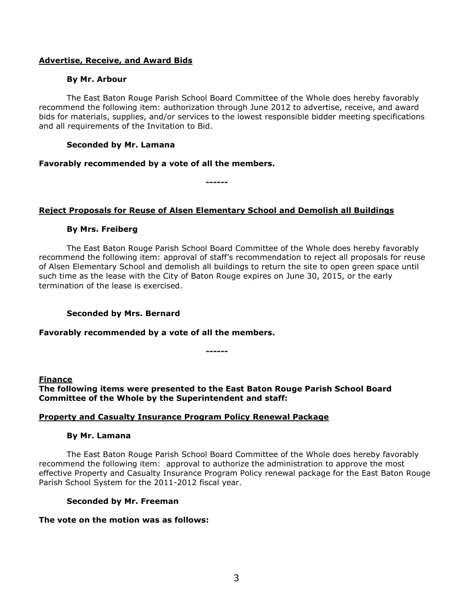## **Advertise, Receive, and Award Bids**

### **By Mr. Arbour**

The East Baton Rouge Parish School Board Committee of the Whole does hereby favorably recommend the following item: authorization through June 2012 to advertise, receive, and award bids for materials, supplies, and/or services to the lowest responsible bidder meeting specifications and all requirements of the Invitation to Bid.

### **Seconded by Mr. Lamana**

### **Favorably recommended by a vote of all the members.**

**------**

## **Reject Proposals for Reuse of Alsen Elementary School and Demolish all Buildings**

## **By Mrs. Freiberg**

The East Baton Rouge Parish School Board Committee of the Whole does hereby favorably recommend the following item: approval of staff's recommendation to reject all proposals for reuse of Alsen Elementary School and demolish all buildings to return the site to open green space until such time as the lease with the City of Baton Rouge expires on June 30, 2015, or the early termination of the lease is exercised.

## **Seconded by Mrs. Bernard**

### **Favorably recommended by a vote of all the members.**

**------**

**Finance**

**The following items were presented to the East Baton Rouge Parish School Board Committee of the Whole by the Superintendent and staff:**

### **Property and Casualty Insurance Program Policy Renewal Package**

### **By Mr. Lamana**

The East Baton Rouge Parish School Board Committee of the Whole does hereby favorably recommend the following item: approval to authorize the administration to approve the most effective Property and Casualty Insurance Program Policy renewal package for the East Baton Rouge Parish School System for the 2011-2012 fiscal year.

### **Seconded by Mr. Freeman**

### **The vote on the motion was as follows:**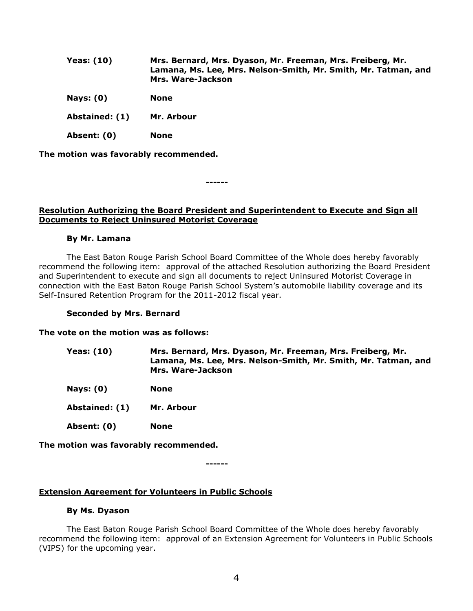| <b>Yeas: (10)</b> | Mrs. Bernard, Mrs. Dyason, Mr. Freeman, Mrs. Freiberg, Mr.<br>Lamana, Ms. Lee, Mrs. Nelson-Smith, Mr. Smith, Mr. Tatman, and<br>Mrs. Ware-Jackson |
|-------------------|---------------------------------------------------------------------------------------------------------------------------------------------------|
| Nays: $(0)$       | <b>None</b>                                                                                                                                       |
| Abstained: (1)    | Mr. Arbour                                                                                                                                        |
| Absent: (0)       | <b>None</b>                                                                                                                                       |

**The motion was favorably recommended.**

**------**

### **Resolution Authorizing the Board President and Superintendent to Execute and Sign all Documents to Reject Uninsured Motorist Coverage**

#### **By Mr. Lamana**

The East Baton Rouge Parish School Board Committee of the Whole does hereby favorably recommend the following item: approval of the attached Resolution authorizing the Board President and Superintendent to execute and sign all documents to reject Uninsured Motorist Coverage in connection with the East Baton Rouge Parish School System's automobile liability coverage and its Self-Insured Retention Program for the 2011-2012 fiscal year.

### **Seconded by Mrs. Bernard**

#### **The vote on the motion was as follows:**

| <b>Yeas: (10)</b> | Mrs. Bernard, Mrs. Dyason, Mr. Freeman, Mrs. Freiberg, Mr.     |
|-------------------|----------------------------------------------------------------|
|                   | Lamana, Ms. Lee, Mrs. Nelson-Smith, Mr. Smith, Mr. Tatman, and |
|                   | Mrs. Ware-Jackson                                              |

**Nays: (0) None**

**Abstained: (1) Mr. Arbour**

**Absent: (0) None**

**The motion was favorably recommended.**

**------**

## **Extension Agreement for Volunteers in Public Schools**

### **By Ms. Dyason**

The East Baton Rouge Parish School Board Committee of the Whole does hereby favorably recommend the following item: approval of an Extension Agreement for Volunteers in Public Schools (VIPS) for the upcoming year.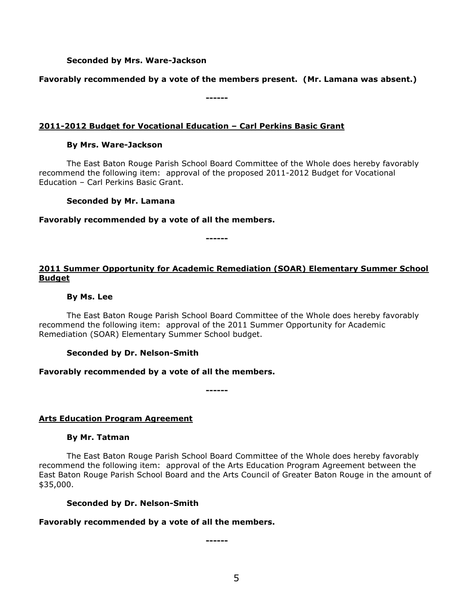## **Seconded by Mrs. Ware-Jackson**

### **Favorably recommended by a vote of the members present. (Mr. Lamana was absent.)**

**------**

### **2011-2012 Budget for Vocational Education – Carl Perkins Basic Grant**

### **By Mrs. Ware-Jackson**

The East Baton Rouge Parish School Board Committee of the Whole does hereby favorably recommend the following item: approval of the proposed 2011-2012 Budget for Vocational Education – Carl Perkins Basic Grant.

### **Seconded by Mr. Lamana**

### **Favorably recommended by a vote of all the members.**

**------**

# **2011 Summer Opportunity for Academic Remediation (SOAR) Elementary Summer School Budget**

### **By Ms. Lee**

The East Baton Rouge Parish School Board Committee of the Whole does hereby favorably recommend the following item: approval of the 2011 Summer Opportunity for Academic Remediation (SOAR) Elementary Summer School budget.

## **Seconded by Dr. Nelson-Smith**

## **Favorably recommended by a vote of all the members.**

**------**

## **Arts Education Program Agreement**

### **By Mr. Tatman**

The East Baton Rouge Parish School Board Committee of the Whole does hereby favorably recommend the following item: approval of the Arts Education Program Agreement between the East Baton Rouge Parish School Board and the Arts Council of Greater Baton Rouge in the amount of \$35,000.

### **Seconded by Dr. Nelson-Smith**

## **Favorably recommended by a vote of all the members.**

**------**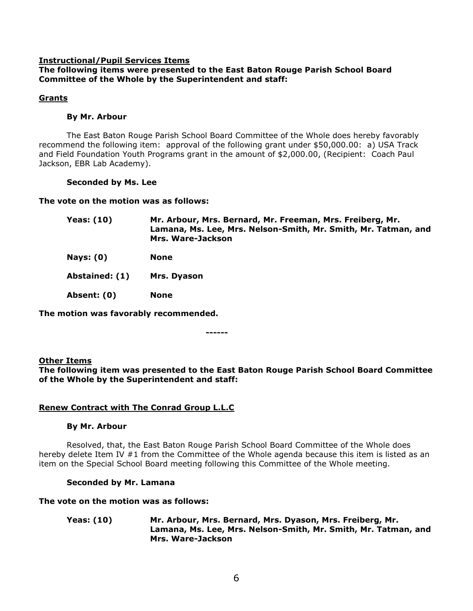### **Instructional/Pupil Services Items**

## **The following items were presented to the East Baton Rouge Parish School Board Committee of the Whole by the Superintendent and staff:**

### **Grants**

### **By Mr. Arbour**

The East Baton Rouge Parish School Board Committee of the Whole does hereby favorably recommend the following item: approval of the following grant under \$50,000.00: a) USA Track and Field Foundation Youth Programs grant in the amount of \$2,000.00, (Recipient: Coach Paul Jackson, EBR Lab Academy).

# **Seconded by Ms. Lee**

**The vote on the motion was as follows:**

| <b>Yeas: (10)</b> | Mr. Arbour, Mrs. Bernard, Mr. Freeman, Mrs. Freiberg, Mr.<br>Lamana, Ms. Lee, Mrs. Nelson-Smith, Mr. Smith, Mr. Tatman, and<br>Mrs. Ware-Jackson |
|-------------------|--------------------------------------------------------------------------------------------------------------------------------------------------|
| Nays: $(0)$       | <b>None</b>                                                                                                                                      |
| Abstained: (1)    | Mrs. Dyason                                                                                                                                      |
| Absent: (0)       | <b>None</b>                                                                                                                                      |

**The motion was favorably recommended.**

**------**

## **Other Items**

**The following item was presented to the East Baton Rouge Parish School Board Committee of the Whole by the Superintendent and staff:**

## **Renew Contract with The Conrad Group L.L.C**

### **By Mr. Arbour**

Resolved, that, the East Baton Rouge Parish School Board Committee of the Whole does hereby delete Item IV #1 from the Committee of the Whole agenda because this item is listed as an item on the Special School Board meeting following this Committee of the Whole meeting.

### **Seconded by Mr. Lamana**

**The vote on the motion was as follows:**

**Yeas: (10) Mr. Arbour, Mrs. Bernard, Mrs. Dyason, Mrs. Freiberg, Mr. Lamana, Ms. Lee, Mrs. Nelson-Smith, Mr. Smith, Mr. Tatman, and Mrs. Ware-Jackson**